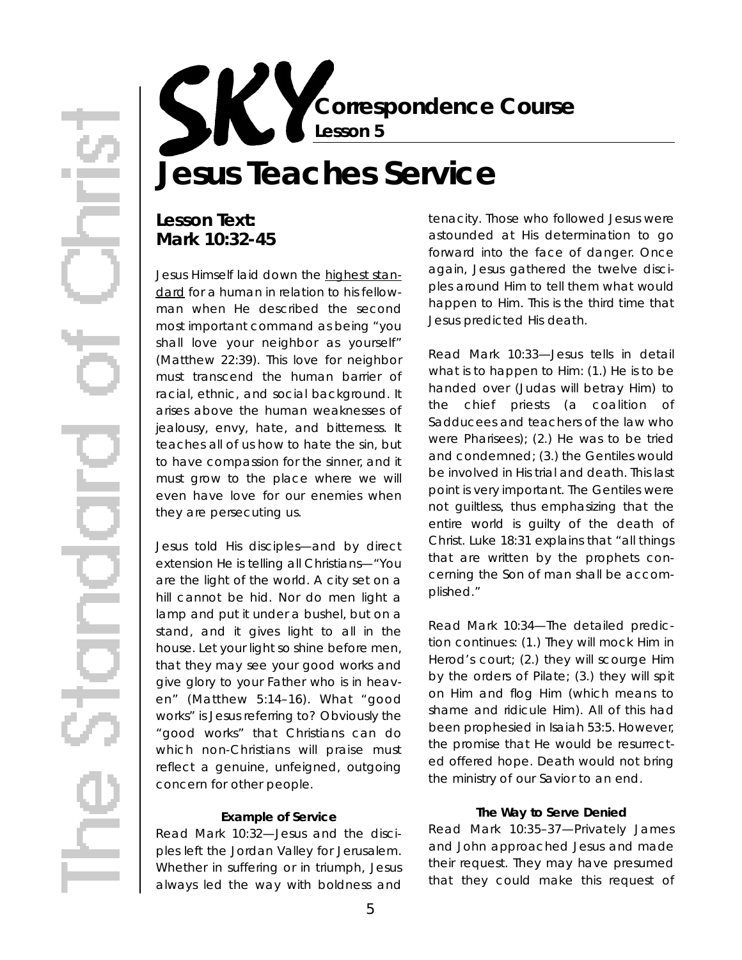**Correspondence Course Lesson 5**

# **Jesus Teaches Service**

## **Lesson Text: Mark 10:32-45**

Jesus Himself laid down the highest standard for a human in relation to his fellowman when He described the second most important command as being "you shall love your neighbor as yourself" (Matthew 22:39). This love for neighbor must transcend the human barrier of racial, ethnic, and social background. It arises above the human weaknesses of jealousy, envy, hate, and bitterness. It teaches all of us how to hate the sin, but to have compassion for the sinner, and it must grow to the place where we will even have love for our enemies when they are persecuting us.

Jesus told His disciples—and by direct extension He is telling all Christians—"You are the light of the world. A city set on a hill cannot be hid. Nor do men light a lamp and put it under a bushel, but on a stand, and it gives light to all in the house. Let your light so shine before men, that they may see your good works and give glory to your Father who is in heaven" (Matthew 5:14–16). What "good works" is Jesus referring to? Obviously the "good works" that Christians can do which non-Christians will praise must reflect a genuine, unfeigned, outgoing concern for other people.

#### **Example of Service**

*Read Mark 10:32*—Jesus and the disciples left the Jordan Valley for Jerusalem. Whether in suffering or in triumph, Jesus always led the way with boldness and tenacity. Those who followed Jesus were astounded at His determination to go forward into the face of danger. Once again, Jesus gathered the twelve disciples around Him to tell them what would happen to Him. This is the third time that Jesus predicted His death.

*Read Mark 10:33*—Jesus tells in detail what is to happen to Him: (1.) He is to be handed over (Judas will betray Him) to the chief priests (a coalition of Sadducees and teachers of the law who were Pharisees); (2.) He was to be tried and condemned; (3.) the Gentiles would be involved in His trial and death. This last point is very important. The Gentiles were not guiltless, thus emphasizing that the entire world is quilty of the death of Christ. Luke 18:31 explains that "all things that are written by the prophets concerning the Son of man shall be accomplished."

*Read Mark 10:34*—The detailed prediction continues: (1.) They will mock Him in Herod's court; (2.) they will scourge Him by the orders of Pilate; (3.) they will spit on Him and flog Him (which means to shame and ridicule Him). All of this had been prophesied in Isaiah 53:5. However, the promise that He would be resurrected offered hope. Death would not bring the ministry of our Savior to an end.

#### **The Way to Serve Denied**

*Read Mark 10:35–37—*Privately James and John approached Jesus and made their request. They may have presumed that they could make this request of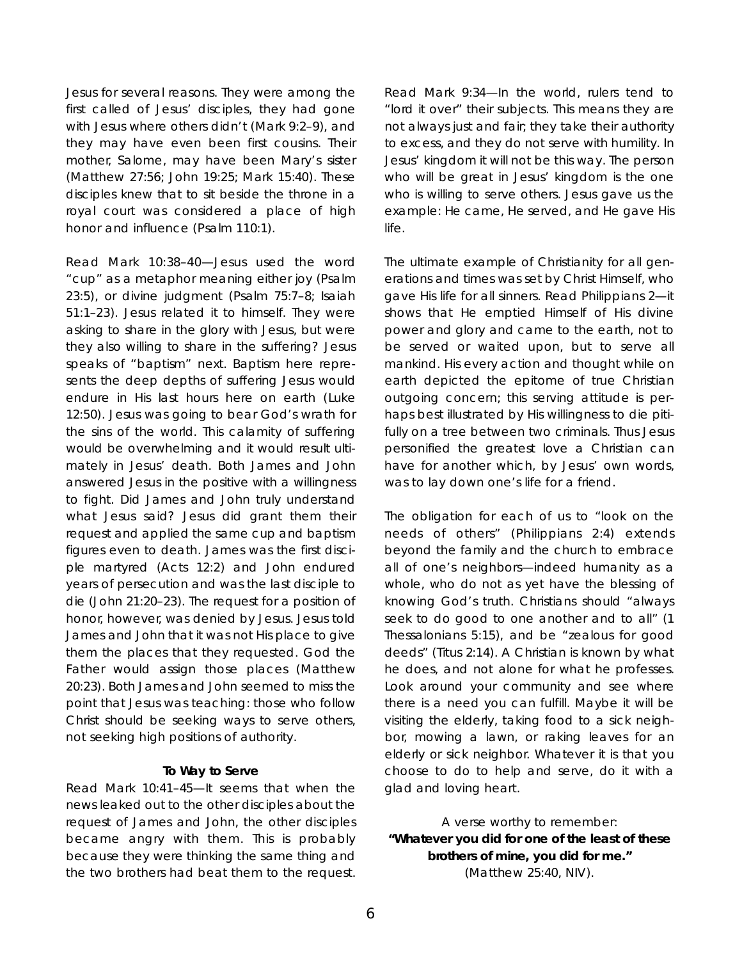Jesus for several reasons. They were among the first called of Jesus' disciples, they had gone with Jesus where others didn't (Mark 9:2–9), and they may have even been first cousins. Their mother, Salome, may have been Mary's sister (Matthew 27:56; John 19:25; Mark 15:40). These disciples knew that to sit beside the throne in a royal court was considered a place of high honor and influence (Psalm 110:1).

*Read Mark 10:38–40*—Jesus used the word "cup" as a metaphor meaning either joy (Psalm 23:5), or divine judgment (Psalm 75:7–8; Isaiah 51:1–23). Jesus related it to himself. They were asking to share in the glory with Jesus, but were they also willing to share in the suffering? Jesus speaks of "baptism" next. Baptism here represents the deep depths of suffering Jesus would endure in His last hours here on earth (Luke 12:50). Jesus was going to bear God's wrath for the sins of the world. This calamity of suffering would be overwhelming and it would result ultimately in Jesus' death. Both James and John answered Jesus in the positive with a willingness to fight. Did James and John truly understand what Jesus said? Jesus did grant them their request and applied the same cup and baptism figures even to death. James was the first disciple martyred (Acts 12:2) and John endured years of persecution and was the last disciple to die (John 21:20–23). The request for a position of honor, however, was denied by Jesus. Jesus told James and John that it was not His place to give them the places that they requested. God the Father would assign those places (Matthew 20:23). Both James and John seemed to miss the point that Jesus was teaching: those who follow Christ should be seeking ways to serve others, not seeking high positions of authority.

#### **To Way to Serve**

*Read Mark 10:41–45*—It seems that when the news leaked out to the other disciples about the request of James and John, the other disciples became angry with them. This is probably because they were thinking the same thing and the two brothers had beat them to the request.

*Read Mark 9:34*—In the world, rulers tend to " lord it over" their subjects. This means they are not always just and fair; they take their authority to excess, and they do not serve with humility. In Jesus' kingdom it will not be this way. The person who will be great in Jesus' kingdom is the one who is willing to serve others. Jesus gave us the example: He came, He served, and He gave His life.

The ultimate example of Christianity for all generations and times was set by Christ Himself, who gave His life for all sinners. Read Philippians 2—it shows that He emptied Himself of His divine power and glory and came to the earth, not to be served or waited upon, but to serve all mankind. His every action and thought while on earth depicted the epitome of true Christian outgoing concern; this serving attitude is perhaps best illustrated by His willingness to die pitifully on a tree between two criminals. Thus Jesus personified the greatest love a Christian can have for another which, by Jesus' own words, was to lay down one's life for a friend.

The obligation for each of us to "look on the needs of others" (Philippians 2:4) extends beyond the family and the church to embrace all of one's neighbors—indeed humanity as a whole, who do not as yet have the blessing of knowing God's truth. Christians should "always seek to do good to one another and to all" (1 Thessalonians 5:15), and be "zealous for good deeds" (Titus 2:14). A Christian is known by what he does, and not alone for what he professes. Look around your community and see where there is a need you can fulfill. Maybe it will be visiting the elderly, taking food to a sick neighbor, mowing a lawn, or raking leaves for an elderly or sick neighbor. Whatever it is that you choose to do to help and serve, do it with a glad and loving heart.

A verse worthy to remember: **"Whatever you did for one of the least of these b rothers of mine, you did for me."**  (Matthew 25:40, NIV).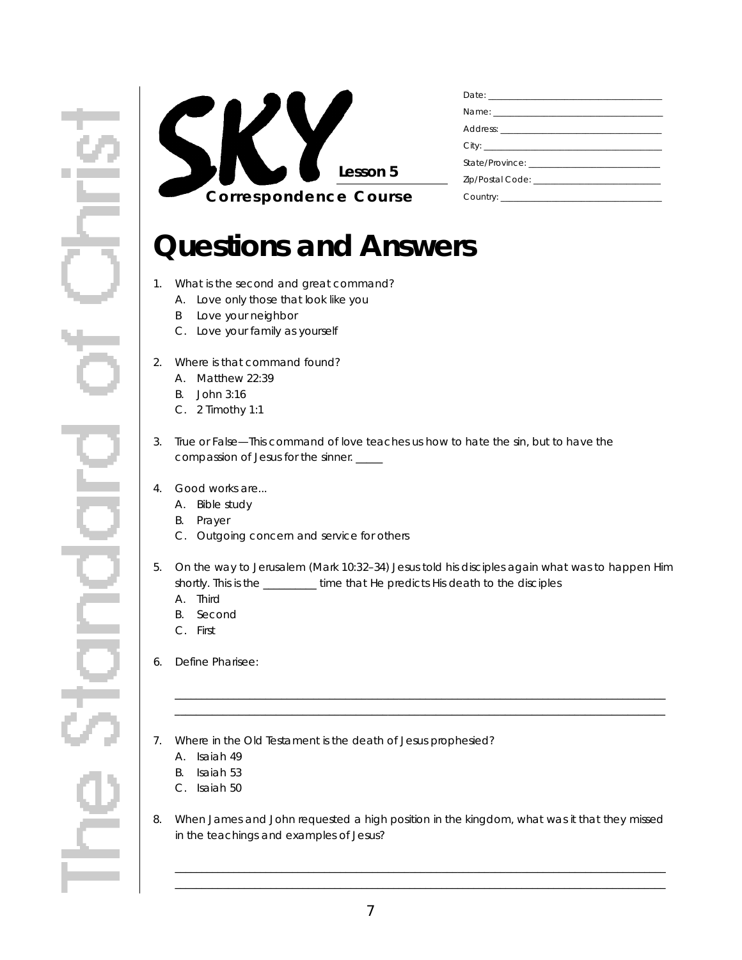

## **Questions and Answers**

- 1. What is the second and great command?
	- A. Love only those that look like you
	- B Love your neighbor
	- C. Love your family as yourself
- 2. Where is that command found?
	- A. Matthew 22:39
	- B. John 3:16
	- C. 2 Timothy 1:1
- 3. True or False—This command of love teaches us how to hate the sin, but to have the compassion of Jesus for the sinner. \_\_\_\_\_
- 4. Good works are...
	- A. Bible study
	- **B.** Prayer
	- C. Outgoing concern and service for others
- 5 . On the way to Jerusalem (Mark 10:32–34) Jesus told his disciples again what was to happen Him shortly. This is the \_\_\_\_\_\_\_\_\_\_ time that He predicts His death to the disciples

\_ \_ \_ \_ \_ \_ \_ \_ \_ \_ \_ \_ \_ \_ \_ \_ \_ \_ \_ \_ \_ \_ \_ \_ \_ \_ \_ \_ \_ \_ \_ \_ \_ \_ \_ \_ \_ \_ \_ \_ \_ \_ \_ \_ \_ \_ \_ \_ \_ \_ \_ \_ \_ \_ \_ \_ \_ \_ \_ \_ \_ \_ \_ \_ \_ \_ \_ \_ \_ \_ \_ \_ \_ \_ \_ \_ \_ \_ \_ \_ \_ \_ \_ \_ \_ \_ \_ \_ \_ \_ \_ \_

- A. Third
- B. Second
- C. First
- 6. Define Pharisee:
- 7. Where in the Old Testament is the death of Jesus prophesied?
	- A. Isaiah 49
	- B. Isaiah 53
	- C. Isaiah 50
- 8. When James and John requested a high position in the kingdom, what was it that they missed in the teachings and examples of Jesus?

\_ \_ \_ \_ \_ \_ \_ \_ \_ \_ \_ \_ \_ \_ \_ \_ \_ \_ \_ \_ \_ \_ \_ \_ \_ \_ \_ \_ \_ \_ \_ \_ \_ \_ \_ \_ \_ \_ \_ \_ \_ \_ \_ \_ \_ \_ \_ \_ \_ \_ \_ \_ \_ \_ \_ \_ \_ \_ \_ \_ \_ \_ \_ \_ \_ \_ \_ \_ \_ \_ \_ \_ \_ \_ \_ \_ \_ \_ \_ \_ \_ \_ \_ \_ \_ \_ \_ \_ \_ \_ \_ \_  $\Box$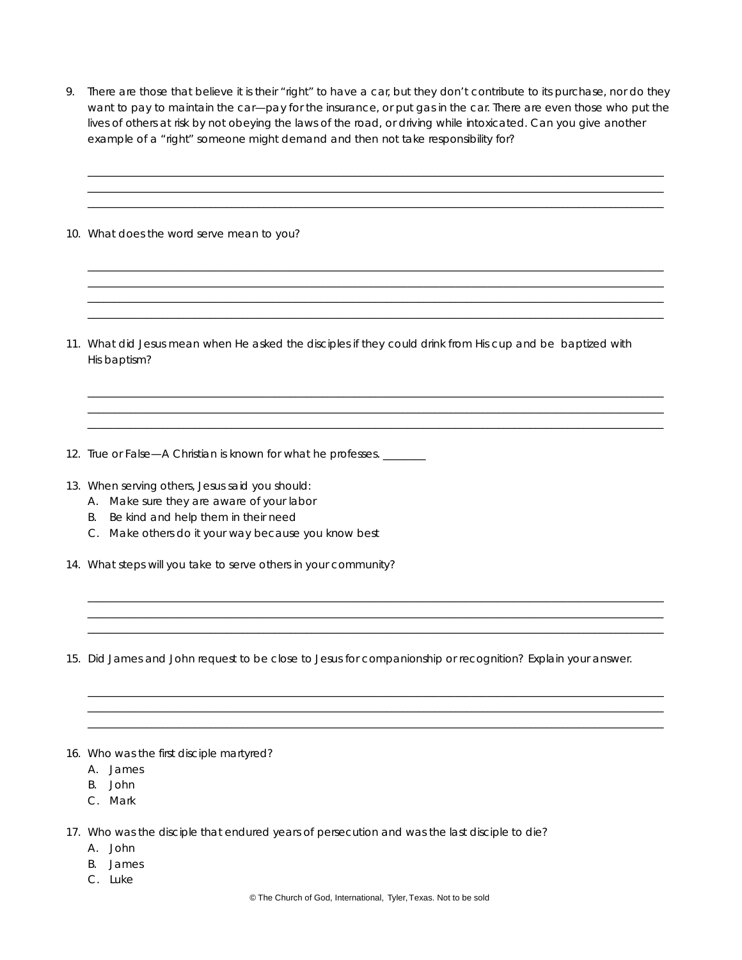9. There are those that believe it is their "right" to have a car, but they don't contribute to its purchase, nor do they want to pay to *maintain* the car—pay for the insurance, or put gas in the car. There are even those who put the lives of others at risk by not obeying the laws of the road, or driving while intoxicated. Can you give another example of a "right" someone might demand and then not take responsibility for?

\_ \_ \_ \_ \_ \_ \_ \_ \_ \_ \_ \_ \_ \_ \_ \_ \_ \_ \_ \_ \_ \_ \_ \_ \_ \_ \_ \_ \_ \_ \_ \_ \_ \_ \_ \_ \_ \_ \_ \_ \_ \_ \_ \_ \_ \_ \_ \_ \_ \_ \_ \_ \_ \_ \_ \_ \_ \_ \_ \_ \_ \_ \_ \_ \_ \_ \_ \_ \_ \_ \_ \_ \_ \_ \_ \_ \_ \_ \_ \_ \_ \_ \_ \_ \_ \_ \_ \_ \_ \_ \_ \_ \_ \_ \_ \_ \_ \_ \_ \_ \_ \_ \_ \_ \_ \_ \_ \_ \_ \_ \_ \_ \_ \_ \_ \_ \_ \_ \_ \_ \_ \_ \_ \_ \_ \_ \_ \_ \_ \_ \_ \_ \_ \_ \_ \_ \_ \_ \_ \_ \_ \_ \_ \_ \_ \_ \_ \_ \_ \_ \_ \_ \_ \_ \_ \_ \_ \_ \_ \_ \_ \_ \_ \_ \_ \_ \_ \_ \_ \_ \_ \_ \_ \_ \_ \_ \_ \_ \_ \_ \_ \_ \_ \_ \_ \_ \_ \_ \_ \_ \_ \_ \_ \_ \_ \_ \_ \_ \_ \_ \_ \_ \_ \_ \_ \_ \_ \_ \_ \_ \_ \_ \_ \_ \_ \_ \_ \_ \_ \_ \_ \_ \_ \_ \_ \_ \_ \_ \_ \_ \_ \_ \_ \_ \_ \_ \_ \_ \_ \_ \_ \_ \_ \_ \_ \_ \_ \_ \_ \_ \_ \_ \_ \_ \_ \_ \_ \_ \_ \_ \_ \_ \_ \_ \_ \_ \_ \_ \_ \_ \_ \_ \_ \_ \_ \_ \_ \_ \_ \_ \_ \_ \_ \_ \_ \_ \_ \_ \_ \_ \_ \_ \_ \_ \_ \_ \_ \_ \_ \_ \_ \_ \_ \_ \_ \_ \_ \_ \_ \_ \_ \_ \_ \_ \_ \_ \_ \_ \_ \_ \_ \_ \_ \_

\_ \_ \_ \_ \_ \_ \_ \_ \_ \_ \_ \_ \_ \_ \_ \_ \_ \_ \_ \_ \_ \_ \_ \_ \_ \_ \_ \_ \_ \_ \_ \_ \_ \_ \_ \_ \_ \_ \_ \_ \_ \_ \_ \_ \_ \_ \_ \_ \_ \_ \_ \_ \_ \_ \_ \_ \_ \_ \_ \_ \_ \_ \_ \_ \_ \_ \_ \_ \_ \_ \_ \_ \_ \_ \_ \_ \_ \_ \_ \_ \_ \_ \_ \_ \_ \_ \_ \_ \_ \_ \_ \_ \_ \_ \_ \_ \_ \_ \_ \_ \_ \_ \_ \_ \_ \_ \_ \_ \_ \_ \_ \_ \_ \_ \_ \_ \_ \_ \_ \_ \_ \_ \_ \_ \_ \_ \_ \_ \_ \_ \_ \_ \_ \_ \_ \_ \_ \_ \_ \_ \_ \_ \_ \_ \_ \_ \_ \_ \_ \_ \_ \_ \_ \_ \_ \_ \_ \_ \_ \_ \_ \_ \_ \_ \_ \_ \_ \_ \_ \_ \_ \_ \_ \_ \_ \_ \_ \_ \_ \_ \_ \_ \_ \_ \_ \_ \_ \_ \_ \_ \_ \_ \_ \_ \_ \_ \_ \_ \_ \_ \_ \_ \_ \_ \_ \_ \_ \_ \_ \_ \_ \_ \_ \_ \_ \_ \_ \_ \_ \_ \_ \_ \_ \_ \_ \_ \_ \_ \_ \_ \_ \_ \_ \_ \_ \_ \_ \_ \_ \_ \_ \_ \_ \_ \_ \_ \_ \_ \_ \_ \_ \_ \_ \_ \_ \_ \_ \_ \_ \_ \_ \_ \_ \_ \_ \_ \_ \_ \_ \_ \_ \_ \_ \_ \_ \_ \_ \_ \_ \_ \_ \_ \_ \_ \_ \_ \_ \_ \_ \_ \_ \_ \_ \_ \_ \_ \_ \_ \_ \_ \_ \_ \_ \_ \_ \_ \_ \_ \_ \_ \_ \_ \_ \_ \_ \_ \_ \_ \_ \_ \_ \_ \_ \_ \_ \_ \_ \_ \_ \_ \_ \_ \_ \_ \_ \_ \_ \_ \_ \_ \_ \_ \_ \_ \_ \_ \_ \_ \_ \_ \_ \_ \_ \_ \_ \_ \_ \_ \_ \_ \_ \_ \_ \_ \_ \_ \_ \_ \_ \_ \_ \_ \_ \_ \_ \_ \_ \_ \_ \_ \_ \_ \_ \_ \_ \_ \_ \_ \_ \_ \_ \_ \_ \_ \_ \_ \_ \_ \_ \_ \_ \_ \_ \_ \_ \_ \_ \_ \_ \_ \_ \_ \_ \_ \_ \_ \_ \_ \_ \_ \_ \_ \_ \_ \_ \_ \_ \_ \_ \_ \_ \_

\_ \_ \_ \_ \_ \_ \_ \_ \_ \_ \_ \_ \_ \_ \_ \_ \_ \_ \_ \_ \_ \_ \_ \_ \_ \_ \_ \_ \_ \_ \_ \_ \_ \_ \_ \_ \_ \_ \_ \_ \_ \_ \_ \_ \_ \_ \_ \_ \_ \_ \_ \_ \_ \_ \_ \_ \_ \_ \_ \_ \_ \_ \_ \_ \_ \_ \_ \_ \_ \_ \_ \_ \_ \_ \_ \_ \_ \_ \_ \_ \_ \_ \_ \_ \_ \_ \_ \_ \_ \_ \_ \_ \_ \_ \_ \_ \_ \_ \_ \_ \_ \_ \_ \_ \_ \_ \_ \_ \_ \_ \_ \_ \_ \_ \_ \_ \_ \_ \_ \_ \_ \_ \_ \_ \_ \_ \_ \_ \_ \_ \_ \_ \_ \_ \_ \_ \_ \_ \_ \_ \_ \_ \_ \_ \_ \_ \_ \_ \_ \_ \_ \_ \_ \_ \_ \_ \_ \_ \_ \_ \_ \_ \_ \_ \_ \_ \_ \_ \_ \_ \_ \_ \_ \_ \_ \_ \_ \_ \_ \_ \_ \_ \_ \_ \_ \_ \_ \_ \_ \_ \_ \_ \_ \_ \_ \_ \_ \_ \_ \_ \_ \_ \_ \_ \_ \_ \_ \_ \_ \_ \_ \_ \_ \_ \_ \_  $\qquad \qquad \qquad \qquad -1 \qquad \qquad -1 \qquad \qquad -1 \qquad \qquad -1 \qquad \qquad -1 \qquad \qquad -1 \qquad \qquad -1 \qquad \qquad -1 \qquad \qquad -1 \qquad \qquad -1 \qquad \qquad -1 \qquad \qquad -1 \qquad \qquad -1 \qquad \qquad -1 \qquad \qquad -1 \qquad \qquad -1 \qquad \qquad -1 \qquad \qquad -1 \qquad \qquad -1 \qquad \qquad -1 \qquad \qquad -1 \qquad \qquad -1 \qquad \qquad -1 \qquad \qquad -1 \qquad \qquad -1 \qquad \qquad -1 \qquad \qquad$ 

10. What does the word *serve* mean to you?

- 11. What did Jesus mean when He asked the disciples if they could drink from His cup and be baptized with His baptism?
- 12. True or False—A Christian is known for what he professes. \_\_\_\_\_
- 13. When serving others, Jesus said you should:
	- A. Make sure they are aware of *your* labor
	- B. Be kind and help them in *their* need
	- C. Make others do it *your* way because you know best
- 14. What steps will you take to serve others in your community?
- 15. Did James and John request to be close to Jesus for companionship or recognition? Explain your answer.

 $\Box$ \_ \_ \_ \_ \_ \_ \_ \_ \_ \_ \_ \_ \_ \_ \_ \_ \_ \_ \_ \_ \_ \_ \_ \_ \_ \_ \_ \_ \_ \_ \_ \_ \_ \_ \_ \_ \_ \_ \_ \_ \_ \_ \_ \_ \_ \_ \_ \_ \_ \_ \_ \_ \_ \_ \_ \_ \_ \_ \_ \_ \_ \_ \_ \_ \_ \_ \_ \_ \_ \_ \_ \_ \_ \_ \_ \_ \_ \_ \_ \_ \_ \_ \_ \_ \_ \_ \_ \_ \_ \_ \_ \_ \_ \_ \_ \_ \_ \_ \_ \_ \_ \_ \_ \_ \_ \_ \_ \_ \_ \_ \_ \_ \_ \_ \_ \_ \_ \_ \_ \_ \_ \_ \_ \_ \_ \_ \_ \_ \_ \_ \_ \_ \_ \_ \_ \_ \_ \_ \_ \_ \_ \_ \_ \_ \_ \_ \_ \_ \_ \_ \_ \_ \_ \_ \_ \_ \_ \_ \_ \_ \_ \_ \_ \_ \_ \_ \_ \_ \_ \_ \_ \_ \_ \_ \_ \_ \_ \_ \_ \_ \_ \_ \_ \_ \_ \_ \_ \_ \_ \_ \_ \_ \_ \_ \_ \_ \_ \_ \_ \_ \_ \_ \_ \_ \_ \_ \_ \_ \_ \_ \_ \_ \_ \_ \_ \_

\_ \_ \_ \_ \_ \_ \_ \_ \_ \_ \_ \_ \_ \_ \_ \_ \_ \_ \_ \_ \_ \_ \_ \_ \_ \_ \_ \_ \_ \_ \_ \_ \_ \_ \_ \_ \_ \_ \_ \_ \_ \_ \_ \_ \_ \_ \_ \_ \_ \_ \_ \_ \_ \_ \_ \_ \_ \_ \_ \_ \_ \_ \_ \_ \_ \_ \_ \_ \_ \_ \_ \_ \_ \_ \_ \_ \_ \_ \_ \_ \_ \_ \_ \_ \_ \_ \_ \_ \_ \_ \_ \_ \_ \_ \_ \_ \_ \_ \_ \_ \_ \_ \_ \_ \_ \_ \_ \_ \_ \_ \_ \_ \_ \_ \_ \_ \_ \_ \_ \_ \_ \_ \_ \_ \_ \_ \_ \_ \_ \_ \_ \_ \_ \_ \_ \_ \_ \_ \_ \_ \_ \_ \_ \_ \_ \_ \_ \_ \_ \_ \_ \_ \_ \_ \_ \_ \_ \_ \_ \_ \_ \_ \_ \_ \_ \_ \_ \_ \_ \_ \_ \_ \_ \_ \_ \_ \_ \_ \_ \_ \_ \_ \_ \_ \_ \_ \_ \_ \_ \_ \_ \_ \_ \_ \_ \_ \_ \_ \_ \_ \_ \_ \_ \_ \_ \_ \_ \_ \_ \_ \_ \_ \_ \_ \_ \_ \_ \_ \_ \_ \_ \_ \_ \_ \_ \_ \_ \_ \_ \_ \_ \_ \_ \_ \_ \_ \_ \_ \_ \_ \_ \_ \_ \_ \_ \_ \_ \_ \_ \_ \_ \_ \_ \_ \_ \_ \_ \_ \_ \_ \_ \_ \_ \_ \_ \_ \_ \_ \_ \_ \_ \_ \_ \_ \_ \_ \_ \_ \_ \_ \_ \_ \_ \_ \_ \_ \_ \_ \_ \_ \_ \_ \_ \_ \_ \_ \_ \_ \_ \_ \_ \_ \_ \_ \_ \_ \_ \_ \_ \_ \_ \_ \_ \_ \_ \_ \_ \_ \_ \_ \_ \_ \_ \_

- 16. Who was the first disciple martyred?
	- A. James
	- B. John
	- C. Mark
- 17. Who was the disciple that endured years of persecution and was the last disciple to die?
	- A. John
	- B. James
	- C. Luke